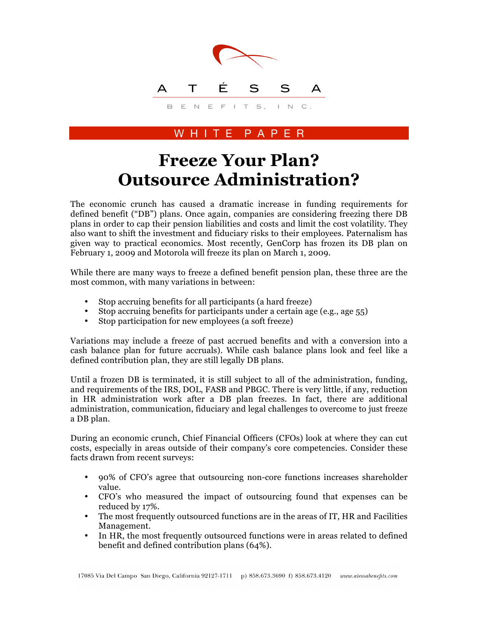

## W H I T E P A P E R

## **Freeze Your Plan? Outsource Administration?**

The economic crunch has caused a dramatic increase in funding requirements for defined benefit ("DB") plans. Once again, companies are considering freezing there DB plans in order to cap their pension liabilities and costs and limit the cost volatility. They also want to shift the investment and fiduciary risks to their employees. Paternalism has given way to practical economics. Most recently, GenCorp has frozen its DB plan on February 1, 2009 and Motorola will freeze its plan on March 1, 2009.

While there are many ways to freeze a defined benefit pension plan, these three are the most common, with many variations in between:

- Stop accruing benefits for all participants (a hard freeze)
- Stop accruing benefits for participants under a certain age (e.g., age 55)
- Stop participation for new employees (a soft freeze)

Variations may include a freeze of past accrued benefits and with a conversion into a cash balance plan for future accruals). While cash balance plans look and feel like a defined contribution plan, they are still legally DB plans.

Until a frozen DB is terminated, it is still subject to all of the administration, funding, and requirements of the IRS, DOL, FASB and PBGC. There is very little, if any, reduction in HR administration work after a DB plan freezes. In fact, there are additional administration, communication, fiduciary and legal challenges to overcome to just freeze a DB plan.

During an economic crunch, Chief Financial Officers (CFOs) look at where they can cut costs, especially in areas outside of their company's core competencies. Consider these facts drawn from recent surveys:

- 90% of CFO's agree that outsourcing non-core functions increases shareholder value.
- CFO's who measured the impact of outsourcing found that expenses can be reduced by 17%.
- The most frequently outsourced functions are in the areas of IT, HR and Facilities Management.
- In HR, the most frequently outsourced functions were in areas related to defined benefit and defined contribution plans (64%).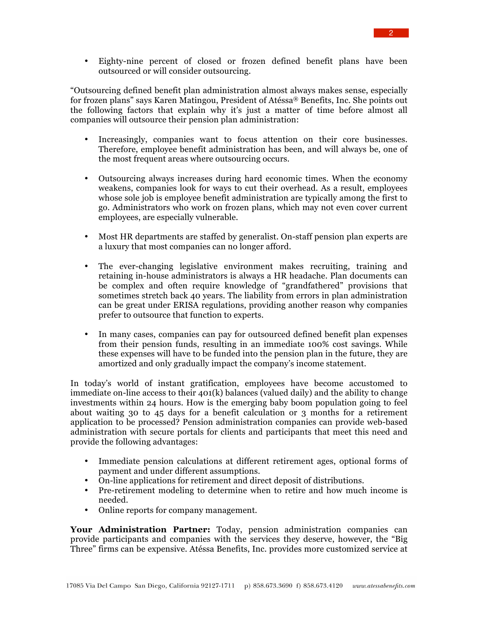• Eighty-nine percent of closed or frozen defined benefit plans have been outsourced or will consider outsourcing.

"Outsourcing defined benefit plan administration almost always makes sense, especially for frozen plans" says Karen Matingou, President of Atéssa® Benefits, Inc. She points out the following factors that explain why it's just a matter of time before almost all companies will outsource their pension plan administration:

- Increasingly, companies want to focus attention on their core businesses. Therefore, employee benefit administration has been, and will always be, one of the most frequent areas where outsourcing occurs.
- Outsourcing always increases during hard economic times. When the economy weakens, companies look for ways to cut their overhead. As a result, employees whose sole job is employee benefit administration are typically among the first to go. Administrators who work on frozen plans, which may not even cover current employees, are especially vulnerable.
- Most HR departments are staffed by generalist. On-staff pension plan experts are a luxury that most companies can no longer afford.
- The ever-changing legislative environment makes recruiting, training and retaining in-house administrators is always a HR headache. Plan documents can be complex and often require knowledge of "grandfathered" provisions that sometimes stretch back 40 years. The liability from errors in plan administration can be great under ERISA regulations, providing another reason why companies prefer to outsource that function to experts.
- In many cases, companies can pay for outsourced defined benefit plan expenses from their pension funds, resulting in an immediate 100% cost savings. While these expenses will have to be funded into the pension plan in the future, they are amortized and only gradually impact the company's income statement.

In today's world of instant gratification, employees have become accustomed to immediate on-line access to their 401(k) balances (valued daily) and the ability to change investments within 24 hours. How is the emerging baby boom population going to feel about waiting 30 to 45 days for a benefit calculation or 3 months for a retirement application to be processed? Pension administration companies can provide web-based administration with secure portals for clients and participants that meet this need and provide the following advantages:

- Immediate pension calculations at different retirement ages, optional forms of payment and under different assumptions.
- On-line applications for retirement and direct deposit of distributions.
- Pre-retirement modeling to determine when to retire and how much income is needed.
- Online reports for company management.

**Your Administration Partner:** Today, pension administration companies can provide participants and companies with the services they deserve, however, the "Big Three" firms can be expensive. Atéssa Benefits, Inc. provides more customized service at